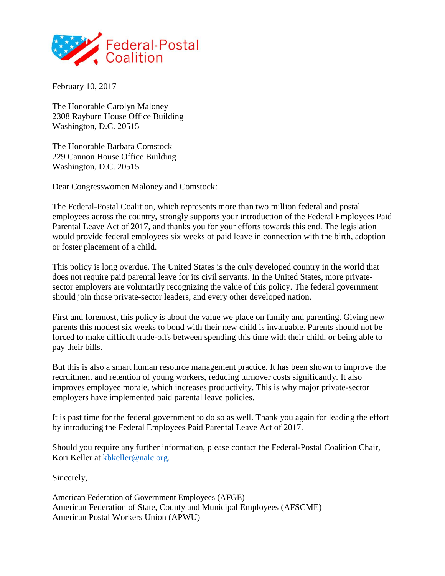

February 10, 2017

The Honorable Carolyn Maloney 2308 Rayburn House Office Building Washington, D.C. 20515

The Honorable Barbara Comstock 229 Cannon House Office Building Washington, D.C. 20515

Dear Congresswomen Maloney and Comstock:

The Federal-Postal Coalition, which represents more than two million federal and postal employees across the country, strongly supports your introduction of the Federal Employees Paid Parental Leave Act of 2017, and thanks you for your efforts towards this end. The legislation would provide federal employees six weeks of paid leave in connection with the birth, adoption or foster placement of a child.

This policy is long overdue. The United States is the only developed country in the world that does not require paid parental leave for its civil servants. In the United States, more privatesector employers are voluntarily recognizing the value of this policy. The federal government should join those private-sector leaders, and every other developed nation.

First and foremost, this policy is about the value we place on family and parenting. Giving new parents this modest six weeks to bond with their new child is invaluable. Parents should not be forced to make difficult trade-offs between spending this time with their child, or being able to pay their bills.

But this is also a smart human resource management practice. It has been shown to improve the recruitment and retention of young workers, reducing turnover costs significantly. It also improves employee morale, which increases productivity. This is why major private-sector employers have implemented paid parental leave policies.

It is past time for the federal government to do so as well. Thank you again for leading the effort by introducing the Federal Employees Paid Parental Leave Act of 2017.

Should you require any further information, please contact the Federal-Postal Coalition Chair, Kori Keller at [kbkeller@nalc.org.](mailto:kbkeller@nalc.org)

Sincerely,

American Federation of Government Employees (AFGE) American Federation of State, County and Municipal Employees (AFSCME) American Postal Workers Union (APWU)